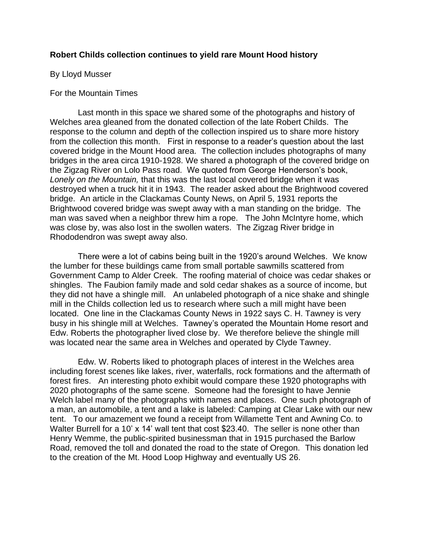## **Robert Childs collection continues to yield rare Mount Hood history**

## By Lloyd Musser

## For the Mountain Times

 Last month in this space we shared some of the photographs and history of Welches area gleaned from the donated collection of the late Robert Childs. The response to the column and depth of the collection inspired us to share more history from the collection this month. First in response to a reader's question about the last covered bridge in the Mount Hood area. The collection includes photographs of many bridges in the area circa 1910-1928. We shared a photograph of the covered bridge on the Zigzag River on Lolo Pass road. We quoted from George Henderson's book, *Lonely on the Mountain,* that this was the last local covered bridge when it was destroyed when a truck hit it in 1943. The reader asked about the Brightwood covered bridge. An article in the Clackamas County News, on April 5, 1931 reports the Brightwood covered bridge was swept away with a man standing on the bridge. The man was saved when a neighbor threw him a rope. The John McIntyre home, which was close by, was also lost in the swollen waters. The Zigzag River bridge in Rhododendron was swept away also.

 There were a lot of cabins being built in the 1920's around Welches. We know the lumber for these buildings came from small portable sawmills scattered from Government Camp to Alder Creek. The roofing material of choice was cedar shakes or shingles. The Faubion family made and sold cedar shakes as a source of income, but they did not have a shingle mill. An unlabeled photograph of a nice shake and shingle mill in the Childs collection led us to research where such a mill might have been located. One line in the Clackamas County News in 1922 says C. H. Tawney is very busy in his shingle mill at Welches. Tawney's operated the Mountain Home resort and Edw. Roberts the photographer lived close by. We therefore believe the shingle mill was located near the same area in Welches and operated by Clyde Tawney.

 Edw. W. Roberts liked to photograph places of interest in the Welches area including forest scenes like lakes, river, waterfalls, rock formations and the aftermath of forest fires. An interesting photo exhibit would compare these 1920 photographs with 2020 photographs of the same scene. Someone had the foresight to have Jennie Welch label many of the photographs with names and places. One such photograph of a man, an automobile, a tent and a lake is labeled: Camping at Clear Lake with our new tent. To our amazement we found a receipt from Willamette Tent and Awning Co. to Walter Burrell for a 10' x 14' wall tent that cost \$23.40. The seller is none other than Henry Wemme, the public-spirited businessman that in 1915 purchased the Barlow Road, removed the toll and donated the road to the state of Oregon. This donation led to the creation of the Mt. Hood Loop Highway and eventually US 26.